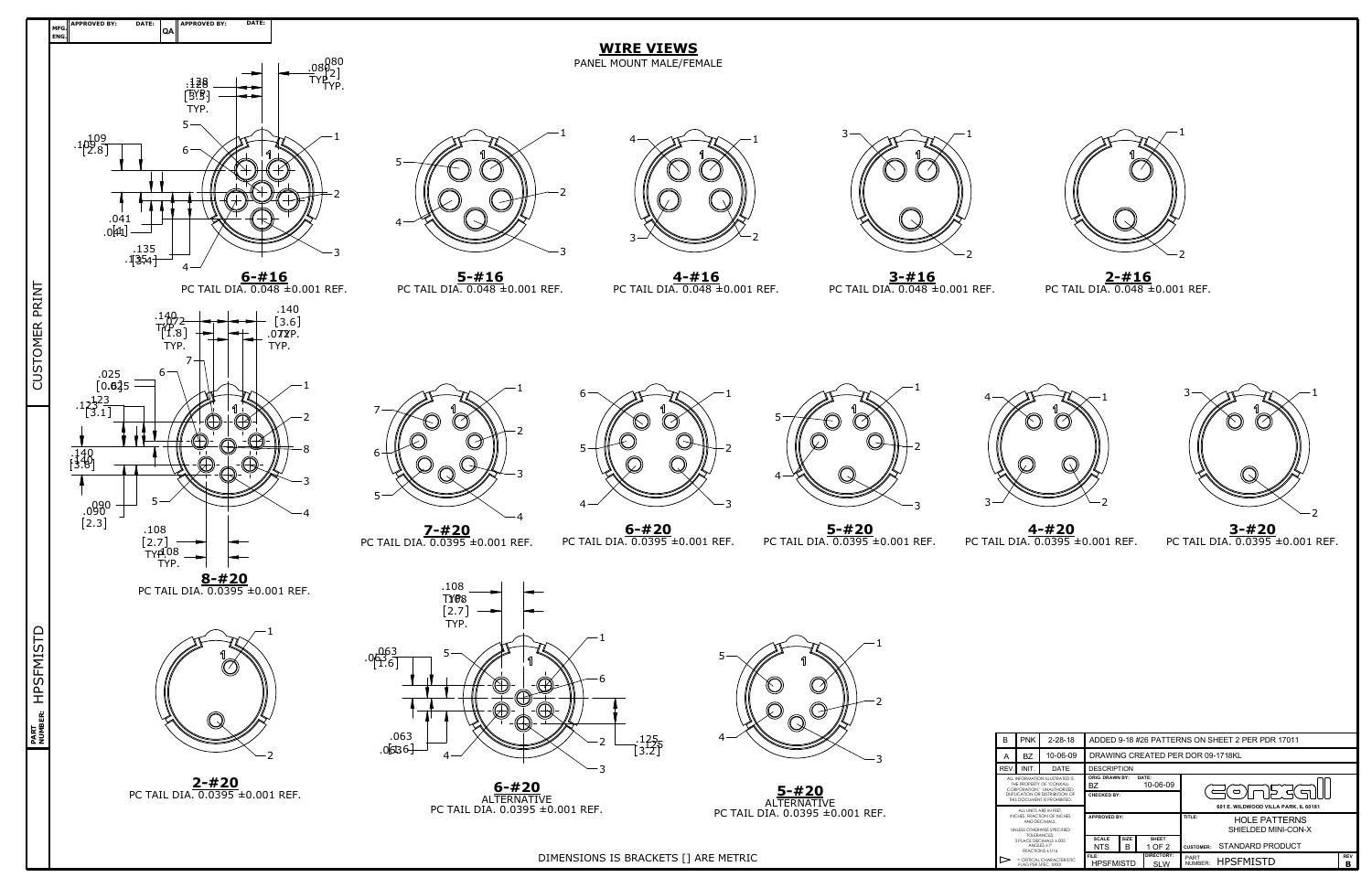| B                                                                                                                                                                                                                                               | <b>PNK</b> | $2 - 28 - 18$ |                                                                                                 |                    |                          | ADDED 9-18 #26 PATTERNS ON SHEET 2 PER PDR 17011                                              |                 |  |  |  |  |
|-------------------------------------------------------------------------------------------------------------------------------------------------------------------------------------------------------------------------------------------------|------------|---------------|-------------------------------------------------------------------------------------------------|--------------------|--------------------------|-----------------------------------------------------------------------------------------------|-----------------|--|--|--|--|
| A                                                                                                                                                                                                                                               | <b>BZ</b>  | 10-06-09      |                                                                                                 |                    |                          | DRAWING CREATED PER DOR 09-1718KL                                                             |                 |  |  |  |  |
| REV.                                                                                                                                                                                                                                            | INIT.      | DATE          |                                                                                                 | <b>DESCRIPTION</b> |                          |                                                                                               |                 |  |  |  |  |
| ALL INFORMATION ILLUSTRATED IS<br>THE PROPERTY OF "CONXALL<br>CORPORATION" UNAUTHORIZED<br>DUPLICATION OR DISTRIBUTION OF<br>THIS DOCUMENT IS PROHIBITED.                                                                                       |            |               | <b>ORIG. DRAWN BY:</b><br>DATE:<br>10-06-09<br>BZ<br>CHECKED BY:                                |                    |                          | $\circ$ 1 r<br>⊃ ⇒ا<br>601 E. WILDWOOD VILLA PARK. IL 60181                                   |                 |  |  |  |  |
| ALL UNITS ARE IN FEET.<br>INCHES. FRACTION OF INCHES<br>AND DECIMALS.<br>UNI ESS OTHERWISE SPECIFIED<br>TOI FRANCES:<br>3 PLACE DECIMALS + 005<br>ANGLES $+1^\circ$<br>FRACTIONS ±1/16<br>⊳<br>$= CRTICAICHCRACTERISTIC$<br>FLAG PER SPEC. XXXX |            |               | <b>APPROVED BY:</b><br><b>SIZE</b><br><b>SCALE</b><br><b>SHEET</b><br>1 OF 2<br>B<br><b>NTS</b> |                    |                          | TITLE:<br><b>HOLE PATTERNS</b><br>SHIELDED MINI-CON-X<br>STANDARD PRODUCT<br><b>CUSTOMER:</b> |                 |  |  |  |  |
|                                                                                                                                                                                                                                                 |            |               | FILE:<br><b>HPSFMISTD</b>                                                                       |                    | DIRECTORY:<br><b>SLW</b> | PART<br><b>HPSFMISTD</b><br>NUMBER:                                                           | <b>REV</b><br>в |  |  |  |  |



DIMENSIONS IS BRACKETS [] ARE METRIC **FILE:**  $\Box$ 



**4-#20** PC TAIL DIA. 0.0395 ±0.001 REF.



**3-#20** PC TAIL DIA. 0.0395 ±0.001 REF.



**2-#16** PC TAIL DIA. 0.048 ±0.001 REF.